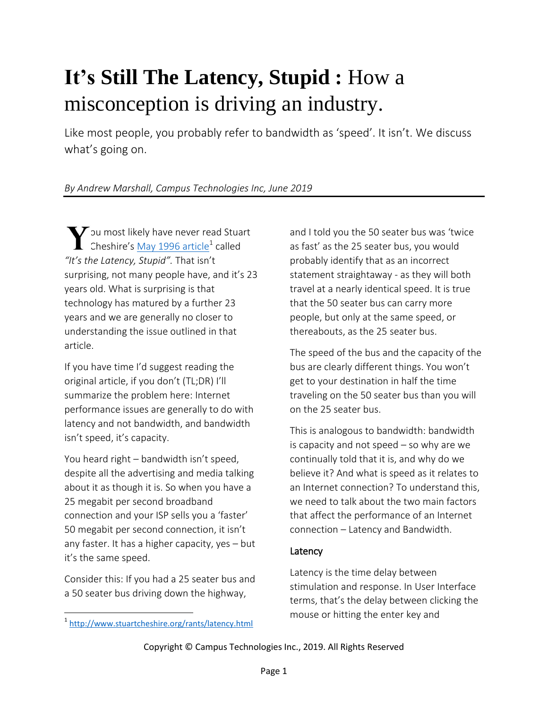# **It's Still The Latency, Stupid :** How a misconception is driving an industry.

Like most people, you probably refer to bandwidth as 'speed'. It isn't. We discuss what's going on.

## *By Andrew Marshall, Campus Technologies Inc, June 2019*

 $\blacktriangledown$  ou most likely have never read Stuart Cheshire's [May 1996 article](http://www.stuartcheshire.org/rants/latency.html)<sup>1</sup> called *"It's the Latency, Stupid".* That isn't surprising, not many people have, and it's 23 years old. What is surprising is that technology has matured by a further 23 years and we are generally no closer to understanding the issue outlined in that article.

If you have time I'd suggest reading the original article, if you don't (TL;DR) I'll summarize the problem here: Internet performance issues are generally to do with latency and not bandwidth, and bandwidth isn't speed, it's capacity.

You heard right – bandwidth isn't speed, despite all the advertising and media talking about it as though it is. So when you have a 25 megabit per second broadband connection and your ISP sells you a 'faster' 50 megabit per second connection, it isn't any faster. It has a higher capacity, yes – but it's the same speed.

Consider this: If you had a 25 seater bus and a 50 seater bus driving down the highway,

<sup>1</sup><http://www.stuartcheshire.org/rants/latency.html>

 $\overline{\phantom{a}}$ 

and I told you the 50 seater bus was 'twice as fast' as the 25 seater bus, you would probably identify that as an incorrect statement straightaway - as they will both travel at a nearly identical speed. It is true that the 50 seater bus can carry more people, but only at the same speed, or thereabouts, as the 25 seater bus.

The speed of the bus and the capacity of the bus are clearly different things. You won't get to your destination in half the time traveling on the 50 seater bus than you will on the 25 seater bus.

This is analogous to bandwidth: bandwidth is capacity and not speed – so why are we continually told that it is, and why do we believe it? And what is speed as it relates to an Internet connection? To understand this, we need to talk about the two main factors that affect the performance of an Internet connection – Latency and Bandwidth.

#### **Latency**

Latency is the time delay between stimulation and response. In User Interface terms, that's the delay between clicking the mouse or hitting the enter key and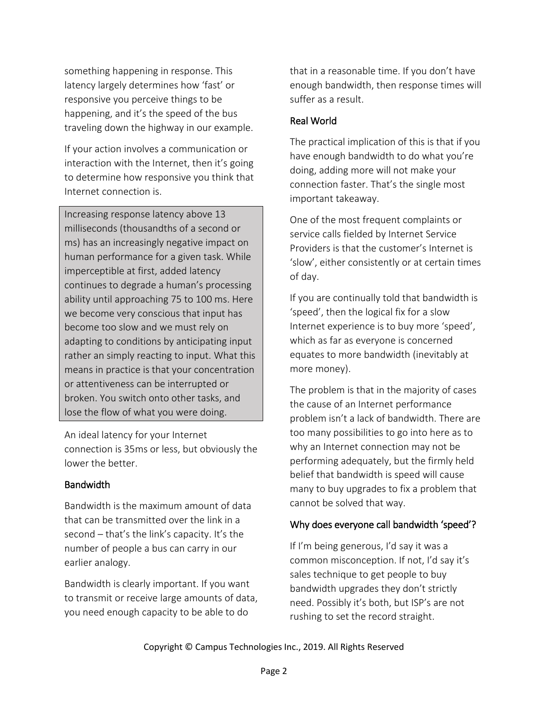something happening in response. This latency largely determines how 'fast' or responsive you perceive things to be happening, and it's the speed of the bus traveling down the highway in our example.

If your action involves a communication or interaction with the Internet, then it's going to determine how responsive you think that Internet connection is.

Increasing response latency above 13 milliseconds (thousandths of a second or ms) has an increasingly negative impact on human performance for a given task. While imperceptible at first, added latency continues to degrade a human's processing ability until approaching 75 to 100 ms. Here we become very conscious that input has become too slow and we must rely on adapting to conditions by anticipating input rather an simply reacting to input. What this means in practice is that your concentration or attentiveness can be interrupted or broken. You switch onto other tasks, and lose the flow of what you were doing.

An ideal latency for your Internet connection is 35ms or less, but obviously the lower the better.

#### Bandwidth

Bandwidth is the maximum amount of data that can be transmitted over the link in a second – that's the link's capacity. It's the number of people a bus can carry in our earlier analogy.

Bandwidth is clearly important. If you want to transmit or receive large amounts of data, you need enough capacity to be able to do

that in a reasonable time. If you don't have enough bandwidth, then response times will suffer as a result.

### Real World

The practical implication of this is that if you have enough bandwidth to do what you're doing, adding more will not make your connection faster. That's the single most important takeaway.

One of the most frequent complaints or service calls fielded by Internet Service Providers is that the customer's Internet is 'slow', either consistently or at certain times of day.

If you are continually told that bandwidth is 'speed', then the logical fix for a slow Internet experience is to buy more 'speed', which as far as everyone is concerned equates to more bandwidth (inevitably at more money).

The problem is that in the majority of cases the cause of an Internet performance problem isn't a lack of bandwidth. There are too many possibilities to go into here as to why an Internet connection may not be performing adequately, but the firmly held belief that bandwidth is speed will cause many to buy upgrades to fix a problem that cannot be solved that way.

#### Why does everyone call bandwidth 'speed'?

If I'm being generous, I'd say it was a common misconception. If not, I'd say it's sales technique to get people to buy bandwidth upgrades they don't strictly need. Possibly it's both, but ISP's are not rushing to set the record straight.